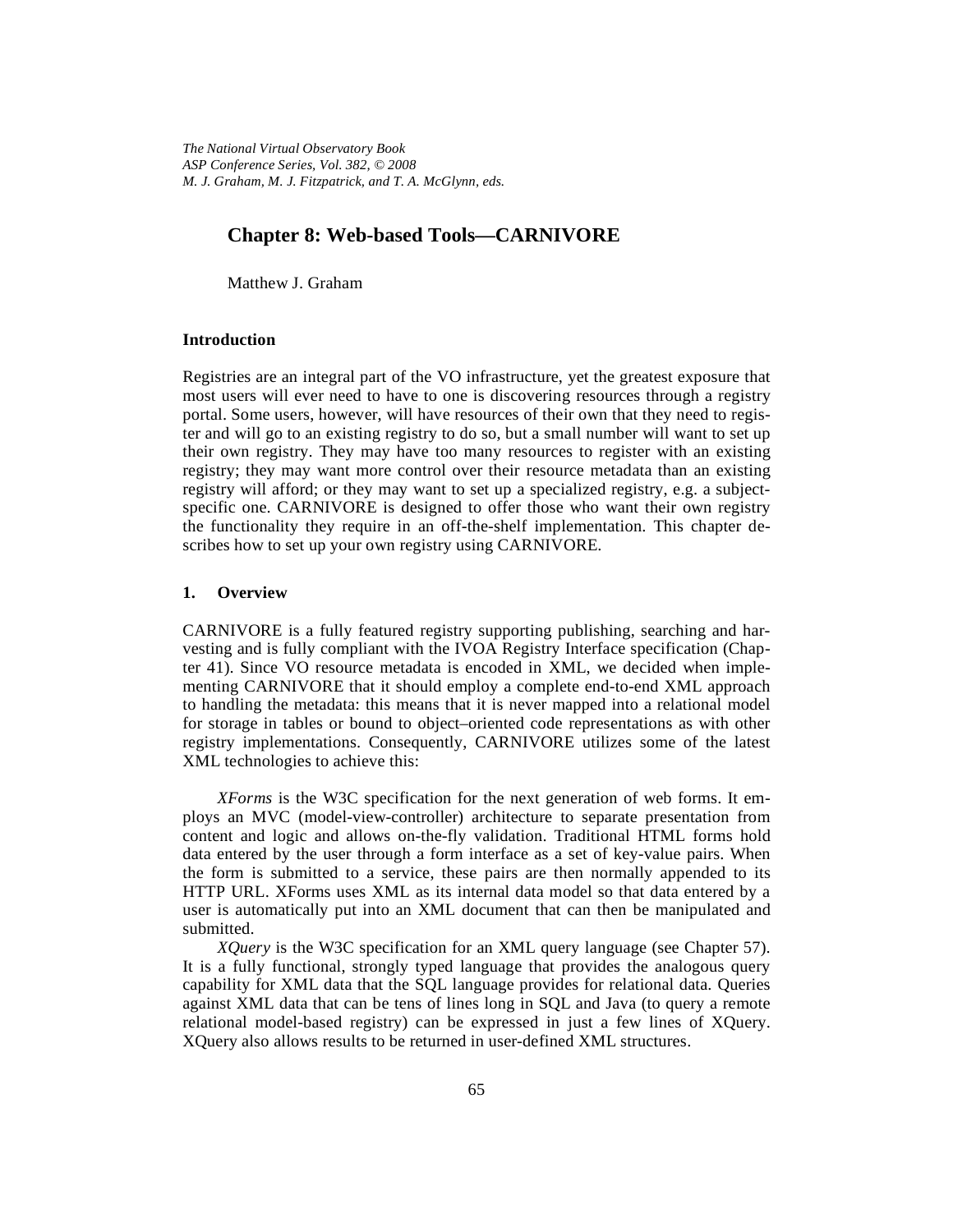*The National Virtual Observatory Book ASP Conference Series, Vol. 382, © 2008 M. J. Graham, M. J. Fitzpatrick, and T. A. McGlynn, eds.*

# **Chapter 8: Web-based Tools—CARNIVORE**

Matthew J. Graham

### **Introduction**

Registries are an integral part of the VO infrastructure, yet the greatest exposure that most users will ever need to have to one is discovering resources through a registry portal. Some users, however, will have resources of their own that they need to register and will go to an existing registry to do so, but a small number will want to set up their own registry. They may have too many resources to register with an existing registry; they may want more control over their resource metadata than an existing registry will afford; or they may want to set up a specialized registry, e.g. a subjectspecific one. CARNIVORE is designed to offer those who want their own registry the functionality they require in an off-the-shelf implementation. This chapter describes how to set up your own registry using CARNIVORE.

### **1. Overview**

CARNIVORE is a fully featured registry supporting publishing, searching and harvesting and is fully compliant with the IVOA Registry Interface specification (Chapter 41). Since VO resource metadata is encoded in XML, we decided when implementing CARNIVORE that it should employ a complete end-to-end XML approach to handling the metadata: this means that it is never mapped into a relational model for storage in tables or bound to object–oriented code representations as with other registry implementations. Consequently, CARNIVORE utilizes some of the latest XML technologies to achieve this:

*XForms* is the W3C specification for the next generation of web forms. It employs an MVC (model-view-controller) architecture to separate presentation from content and logic and allows on-the-fly validation. Traditional HTML forms hold data entered by the user through a form interface as a set of key-value pairs. When the form is submitted to a service, these pairs are then normally appended to its HTTP URL. XForms uses XML as its internal data model so that data entered by a user is automatically put into an XML document that can then be manipulated and submitted.

*XQuery* is the W3C specification for an XML query language (see Chapter 57). It is a fully functional, strongly typed language that provides the analogous query capability for XML data that the SQL language provides for relational data. Queries against XML data that can be tens of lines long in SQL and Java (to query a remote relational model-based registry) can be expressed in just a few lines of XQuery. XQuery also allows results to be returned in user-defined XML structures.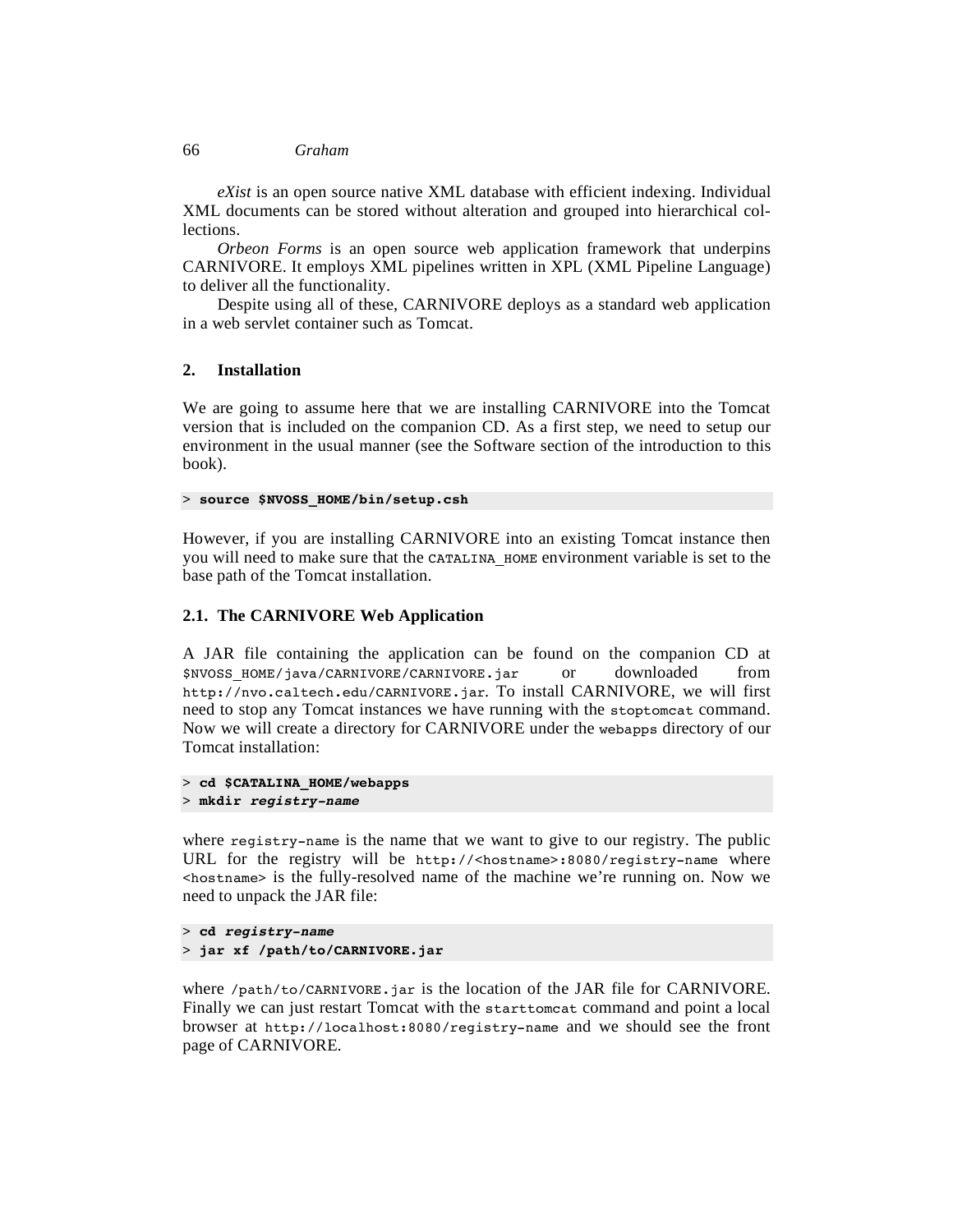#### 66 *Graham*

*eXist* is an open source native XML database with efficient indexing. Individual XML documents can be stored without alteration and grouped into hierarchical collections.

*Orbeon Forms* is an open source web application framework that underpins CARNIVORE. It employs XML pipelines written in XPL (XML Pipeline Language) to deliver all the functionality.

Despite using all of these, CARNIVORE deploys as a standard web application in a web servlet container such as Tomcat.

### **2. Installation**

We are going to assume here that we are installing CARNIVORE into the Tomcat version that is included on the companion CD. As a first step, we need to setup our environment in the usual manner (see the Software section of the introduction to this book).

> **source \$NVOSS\_HOME/bin/setup.csh**

However, if you are installing CARNIVORE into an existing Tomcat instance then you will need to make sure that the CATALINA\_HOME environment variable is set to the base path of the Tomcat installation.

## **2.1. The CARNIVORE Web Application**

A JAR file containing the application can be found on the companion CD at \$NVOSS\_HOME/java/CARNIVORE/CARNIVORE.jar or downloaded from http://nvo.caltech.edu/CARNIVORE.jar. To install CARNIVORE, we will first need to stop any Tomcat instances we have running with the stoptomcat command. Now we will create a directory for CARNIVORE under the webapps directory of our Tomcat installation:

```
> cd $CATALINA_HOME/webapps
> mkdir registry-name
```
where registry-name is the name that we want to give to our registry. The public URL for the registry will be http://<hostname>:8080/registry-name where <hostname> is the fully-resolved name of the machine we're running on. Now we need to unpack the JAR file:

```
> cd registry-name
> jar xf /path/to/CARNIVORE.jar
```
where /path/to/CARNIVORE.jar is the location of the JAR file for CARNIVORE. Finally we can just restart Tomcat with the starttomcat command and point a local browser at http://localhost:8080/registry-name and we should see the front page of CARNIVORE.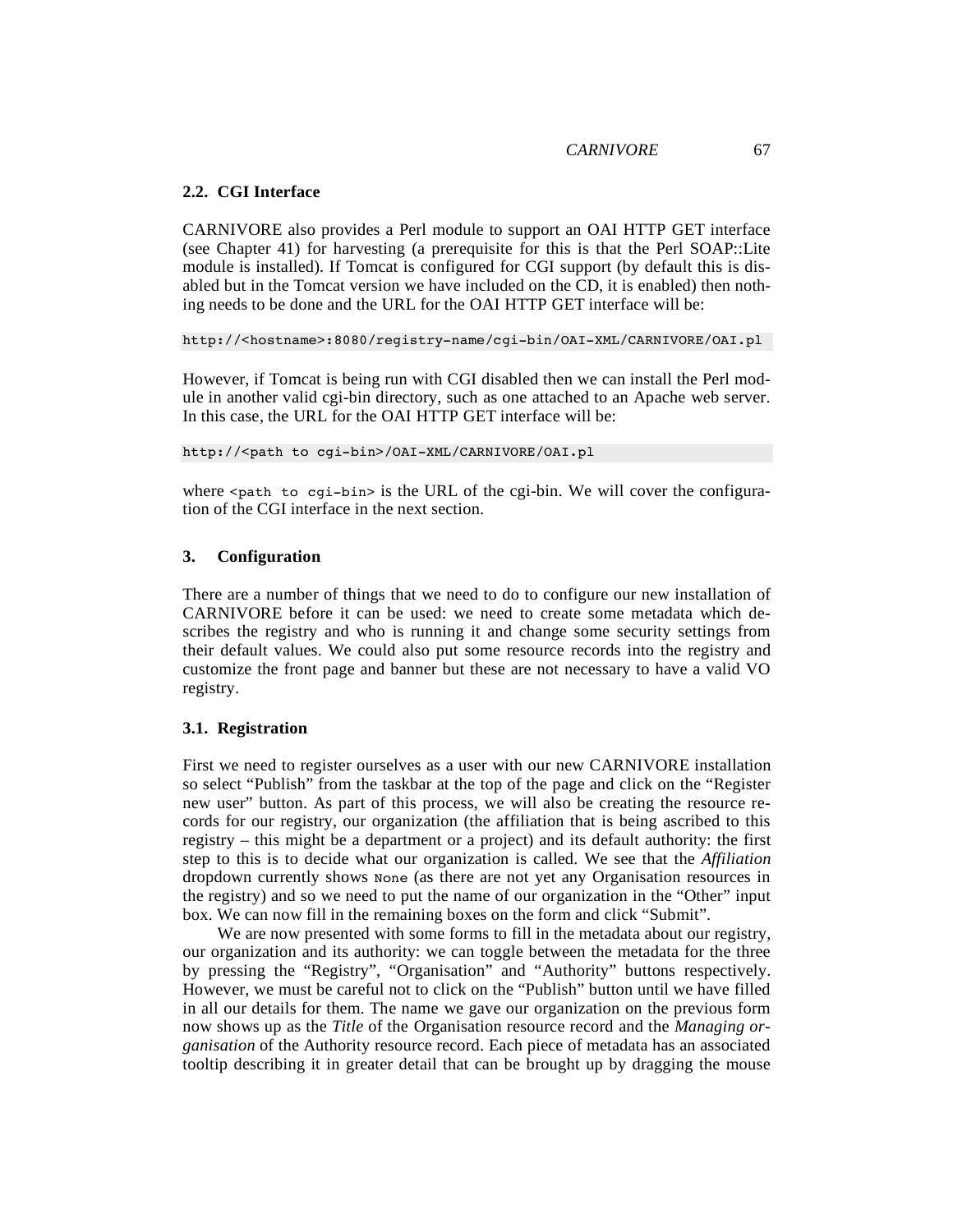### **2.2. CGI Interface**

CARNIVORE also provides a Perl module to support an OAI HTTP GET interface (see Chapter 41) for harvesting (a prerequisite for this is that the Perl SOAP::Lite module is installed). If Tomcat is configured for CGI support (by default this is disabled but in the Tomcat version we have included on the CD, it is enabled) then nothing needs to be done and the URL for the OAI HTTP GET interface will be:

http://<hostname>:8080/registry-name/cgi-bin/OAI-XML/CARNIVORE/OAI.pl

However, if Tomcat is being run with CGI disabled then we can install the Perl module in another valid cgi-bin directory, such as one attached to an Apache web server. In this case, the URL for the OAI HTTP GET interface will be:

http://<path to cgi-bin>/OAI-XML/CARNIVORE/OAI.pl

where  $\epsilon_{\text{path}}$  to cgi-bin> is the URL of the cgi-bin. We will cover the configuration of the CGI interface in the next section.

### **3. Configuration**

There are a number of things that we need to do to configure our new installation of CARNIVORE before it can be used: we need to create some metadata which describes the registry and who is running it and change some security settings from their default values. We could also put some resource records into the registry and customize the front page and banner but these are not necessary to have a valid VO registry.

### **3.1. Registration**

First we need to register ourselves as a user with our new CARNIVORE installation so select "Publish" from the taskbar at the top of the page and click on the "Register new user" button. As part of this process, we will also be creating the resource records for our registry, our organization (the affiliation that is being ascribed to this registry – this might be a department or a project) and its default authority: the first step to this is to decide what our organization is called. We see that the *Affiliation* dropdown currently shows None (as there are not yet any Organisation resources in the registry) and so we need to put the name of our organization in the "Other" input box. We can now fill in the remaining boxes on the form and click "Submit".

We are now presented with some forms to fill in the metadata about our registry, our organization and its authority: we can toggle between the metadata for the three by pressing the "Registry", "Organisation" and "Authority" buttons respectively. However, we must be careful not to click on the "Publish" button until we have filled in all our details for them. The name we gave our organization on the previous form now shows up as the *Title* of the Organisation resource record and the *Managing organisation* of the Authority resource record. Each piece of metadata has an associated tooltip describing it in greater detail that can be brought up by dragging the mouse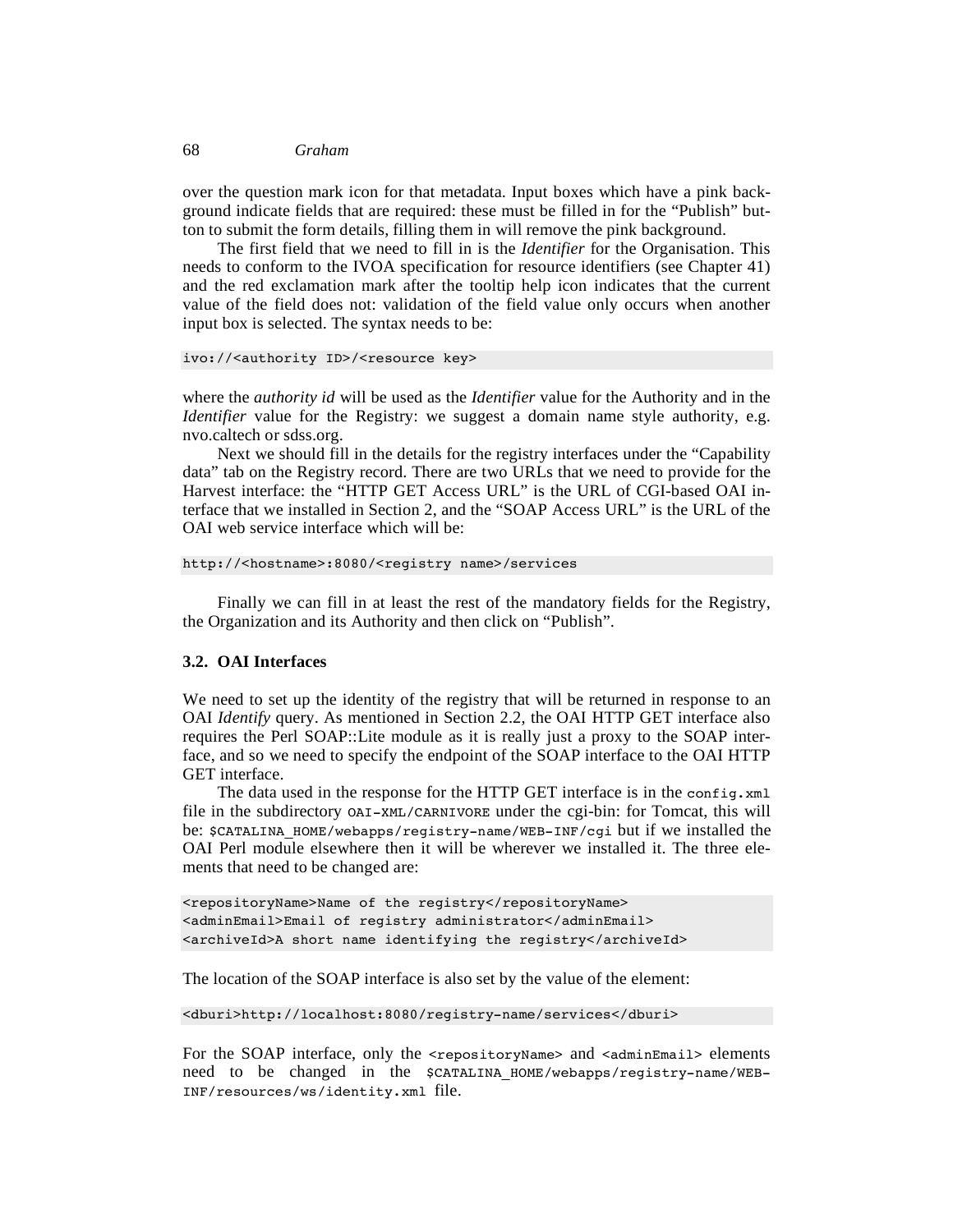#### 68 *Graham*

over the question mark icon for that metadata. Input boxes which have a pink background indicate fields that are required: these must be filled in for the "Publish" button to submit the form details, filling them in will remove the pink background.

The first field that we need to fill in is the *Identifier* for the Organisation. This needs to conform to the IVOA specification for resource identifiers (see Chapter 41) and the red exclamation mark after the tooltip help icon indicates that the current value of the field does not: validation of the field value only occurs when another input box is selected. The syntax needs to be:

```
ivo://<authority ID>/<resource key>
```
where the *authority id* will be used as the *Identifier* value for the Authority and in the *Identifier* value for the Registry: we suggest a domain name style authority, e.g. nvo.caltech or sdss.org.

Next we should fill in the details for the registry interfaces under the "Capability data" tab on the Registry record. There are two URLs that we need to provide for the Harvest interface: the "HTTP GET Access URL" is the URL of CGI-based OAI interface that we installed in Section 2, and the "SOAP Access URL" is the URL of the OAI web service interface which will be:

```
http://<hostname>:8080/<registry name>/services
```
Finally we can fill in at least the rest of the mandatory fields for the Registry, the Organization and its Authority and then click on "Publish".

## **3.2. OAI Interfaces**

We need to set up the identity of the registry that will be returned in response to an OAI *Identify* query. As mentioned in Section 2.2, the OAI HTTP GET interface also requires the Perl SOAP::Lite module as it is really just a proxy to the SOAP interface, and so we need to specify the endpoint of the SOAP interface to the OAI HTTP GET interface.

The data used in the response for the HTTP GET interface is in the config.xml file in the subdirectory OAI-XML/CARNIVORE under the cgi-bin: for Tomcat, this will be: \$CATALINA\_HOME/webapps/registry-name/WEB-INF/cgi but if we installed the OAI Perl module elsewhere then it will be wherever we installed it. The three elements that need to be changed are:

```
<repositoryName>Name of the registry</repositoryName>
<adminEmail>Email of registry administrator</adminEmail>
<archiveId>A short name identifying the registry</archiveId>
```
The location of the SOAP interface is also set by the value of the element:

```
<dburi>http://localhost:8080/registry-name/services</dburi>
```
For the SOAP interface, only the  $\leq$  repositoryName> and  $\leq$  adminEmail> elements need to be changed in the \$CATALINA\_HOME/webapps/registry-name/WEB-INF/resources/ws/identity.xml file.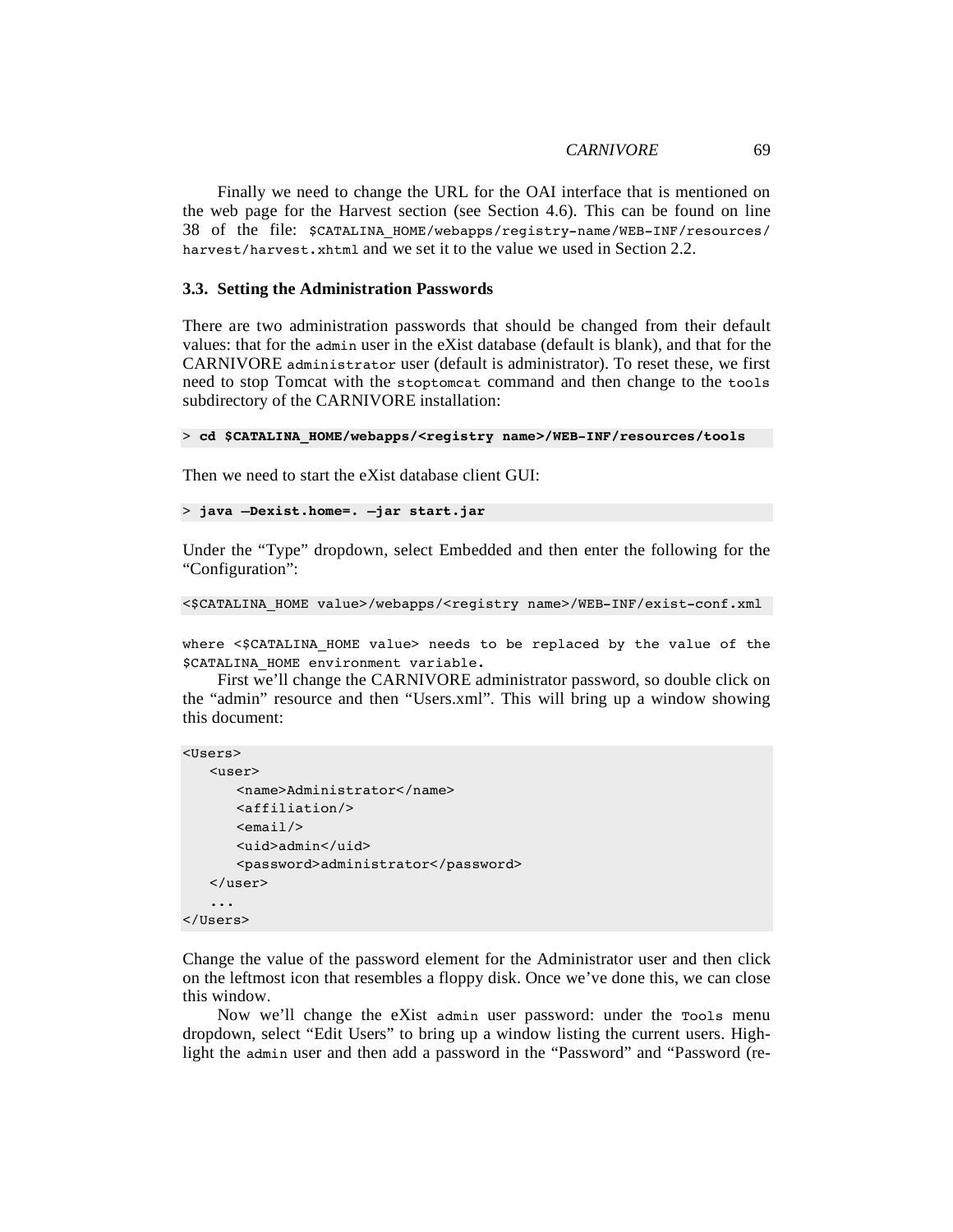Finally we need to change the URL for the OAI interface that is mentioned on the web page for the Harvest section (see Section 4.6). This can be found on line 38 of the file: \$CATALINA\_HOME/webapps/registry-name/WEB-INF/resources/ harvest/harvest.xhtml and we set it to the value we used in Section 2.2.

#### **3.3. Setting the Administration Passwords**

There are two administration passwords that should be changed from their default values: that for the admin user in the eXist database (default is blank), and that for the CARNIVORE administrator user (default is administrator). To reset these, we first need to stop Tomcat with the stoptomcat command and then change to the tools subdirectory of the CARNIVORE installation:

```
> cd $CATALINA_HOME/webapps/<registry name>/WEB-INF/resources/tools
```
Then we need to start the eXist database client GUI:

```
> java –Dexist.home=. –jar start.jar
```
Under the "Type" dropdown, select Embedded and then enter the following for the "Configuration":

```
<$CATALINA_HOME value>/webapps/<registry name>/WEB-INF/exist-conf.xml
```
where <\$CATALINA HOME value> needs to be replaced by the value of the \$CATALINA\_HOME environment variable.

First we'll change the CARNIVORE administrator password, so double click on the "admin" resource and then "Users.xml". This will bring up a window showing this document:

```
<Users>
```

```
<user>
      <name>Administrator</name>
      <affiliation/>
      \leemail/><uid>admin</uid>
      <password>administrator</password>
   </user>
   ...
</Users>
```
Change the value of the password element for the Administrator user and then click on the leftmost icon that resembles a floppy disk. Once we've done this, we can close this window.

Now we'll change the eXist admin user password: under the Tools menu dropdown, select "Edit Users" to bring up a window listing the current users. Highlight the admin user and then add a password in the "Password" and "Password (re-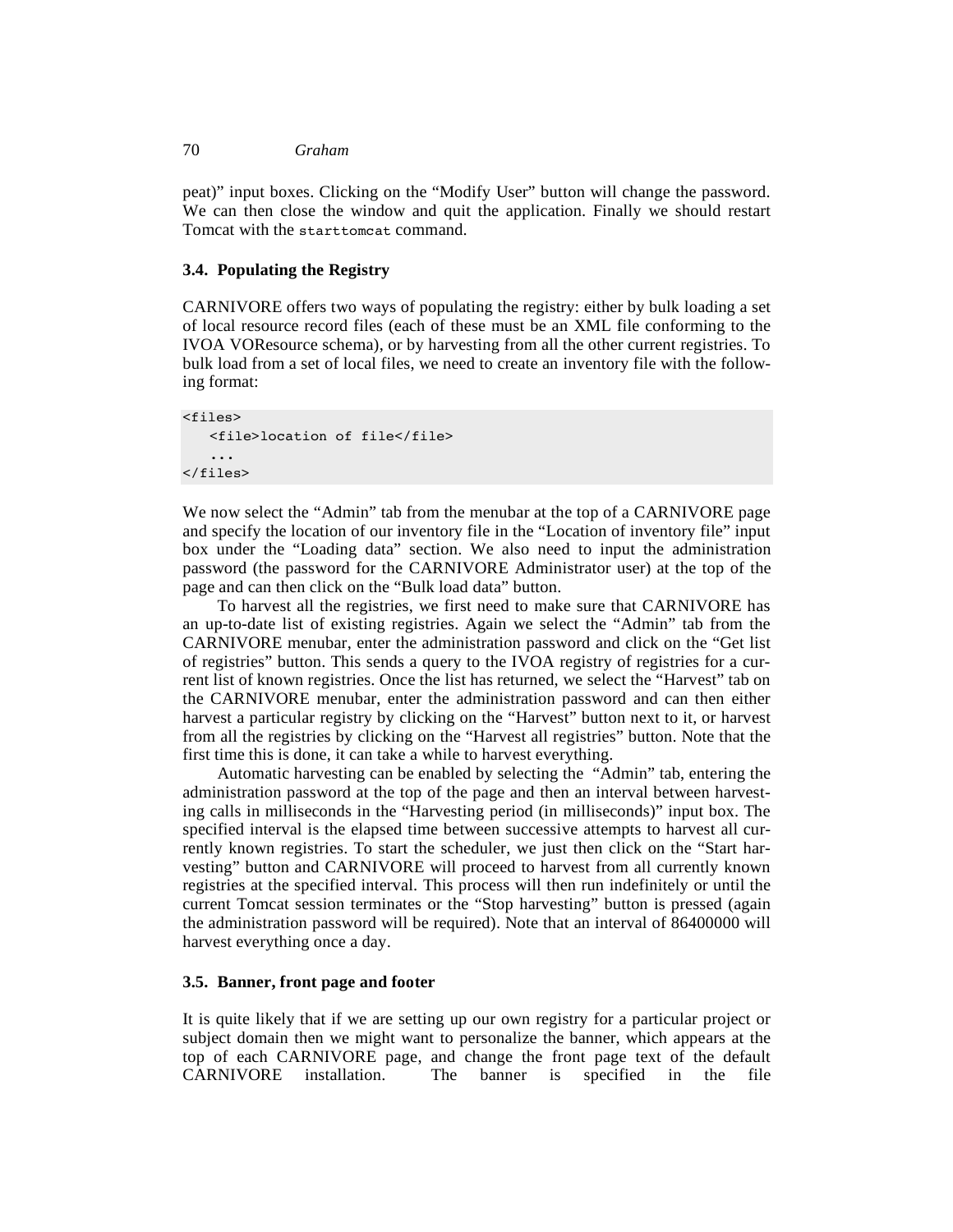#### 70 *Graham*

peat)" input boxes. Clicking on the "Modify User" button will change the password. We can then close the window and quit the application. Finally we should restart Tomcat with the starttomcat command.

### **3.4. Populating the Registry**

CARNIVORE offers two ways of populating the registry: either by bulk loading a set of local resource record files (each of these must be an XML file conforming to the IVOA VOResource schema), or by harvesting from all the other current registries. To bulk load from a set of local files, we need to create an inventory file with the following format:

```
<files>
   <file>location of file</file>
   ...
</files>
```
We now select the "Admin" tab from the menubar at the top of a CARNIVORE page and specify the location of our inventory file in the "Location of inventory file" input box under the "Loading data" section. We also need to input the administration password (the password for the CARNIVORE Administrator user) at the top of the page and can then click on the "Bulk load data" button.

To harvest all the registries, we first need to make sure that CARNIVORE has an up-to-date list of existing registries. Again we select the "Admin" tab from the CARNIVORE menubar, enter the administration password and click on the "Get list of registries" button. This sends a query to the IVOA registry of registries for a current list of known registries. Once the list has returned, we select the "Harvest" tab on the CARNIVORE menubar, enter the administration password and can then either harvest a particular registry by clicking on the "Harvest" button next to it, or harvest from all the registries by clicking on the "Harvest all registries" button. Note that the first time this is done, it can take a while to harvest everything.

Automatic harvesting can be enabled by selecting the "Admin" tab, entering the administration password at the top of the page and then an interval between harvesting calls in milliseconds in the "Harvesting period (in milliseconds)" input box. The specified interval is the elapsed time between successive attempts to harvest all currently known registries. To start the scheduler, we just then click on the "Start harvesting" button and CARNIVORE will proceed to harvest from all currently known registries at the specified interval. This process will then run indefinitely or until the current Tomcat session terminates or the "Stop harvesting" button is pressed (again the administration password will be required). Note that an interval of 86400000 will harvest everything once a day.

### **3.5. Banner, front page and footer**

It is quite likely that if we are setting up our own registry for a particular project or subject domain then we might want to personalize the banner, which appears at the top of each CARNIVORE page, and change the front page text of the default CARNIVORE installation. The banner is specified in the file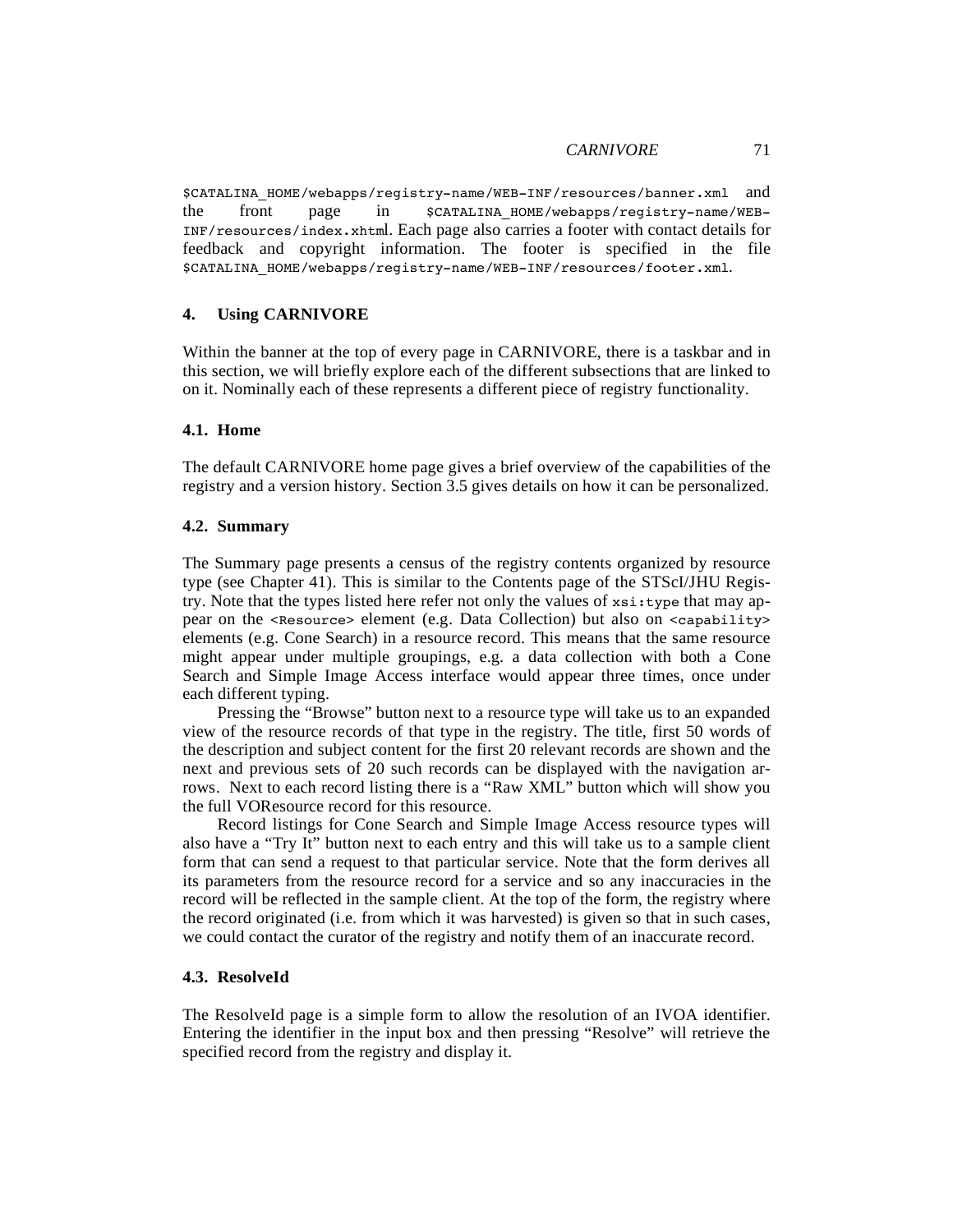\$CATALINA\_HOME/webapps/registry-name/WEB-INF/resources/banner.xml and the front page in \$CATALINA\_HOME/webapps/registry-name/WEB-INF/resources/index.xhtml. Each page also carries a footer with contact details for feedback and copyright information. The footer is specified in the file \$CATALINA\_HOME/webapps/registry-name/WEB-INF/resources/footer.xml.

### **4. Using CARNIVORE**

Within the banner at the top of every page in CARNIVORE, there is a taskbar and in this section, we will briefly explore each of the different subsections that are linked to on it. Nominally each of these represents a different piece of registry functionality.

### **4.1. Home**

The default CARNIVORE home page gives a brief overview of the capabilities of the registry and a version history. Section 3.5 gives details on how it can be personalized.

### **4.2. Summary**

The Summary page presents a census of the registry contents organized by resource type (see Chapter 41). This is similar to the Contents page of the STScI/JHU Registry. Note that the types listed here refer not only the values of xsi:type that may appear on the <Resource> element (e.g. Data Collection) but also on <capability> elements (e.g. Cone Search) in a resource record. This means that the same resource might appear under multiple groupings, e.g. a data collection with both a Cone Search and Simple Image Access interface would appear three times, once under each different typing.

Pressing the "Browse" button next to a resource type will take us to an expanded view of the resource records of that type in the registry. The title, first 50 words of the description and subject content for the first 20 relevant records are shown and the next and previous sets of 20 such records can be displayed with the navigation arrows. Next to each record listing there is a "Raw XML" button which will show you the full VOResource record for this resource.

Record listings for Cone Search and Simple Image Access resource types will also have a "Try It" button next to each entry and this will take us to a sample client form that can send a request to that particular service. Note that the form derives all its parameters from the resource record for a service and so any inaccuracies in the record will be reflected in the sample client. At the top of the form, the registry where the record originated (i.e. from which it was harvested) is given so that in such cases, we could contact the curator of the registry and notify them of an inaccurate record.

### **4.3. ResolveId**

The ResolveId page is a simple form to allow the resolution of an IVOA identifier. Entering the identifier in the input box and then pressing "Resolve" will retrieve the specified record from the registry and display it.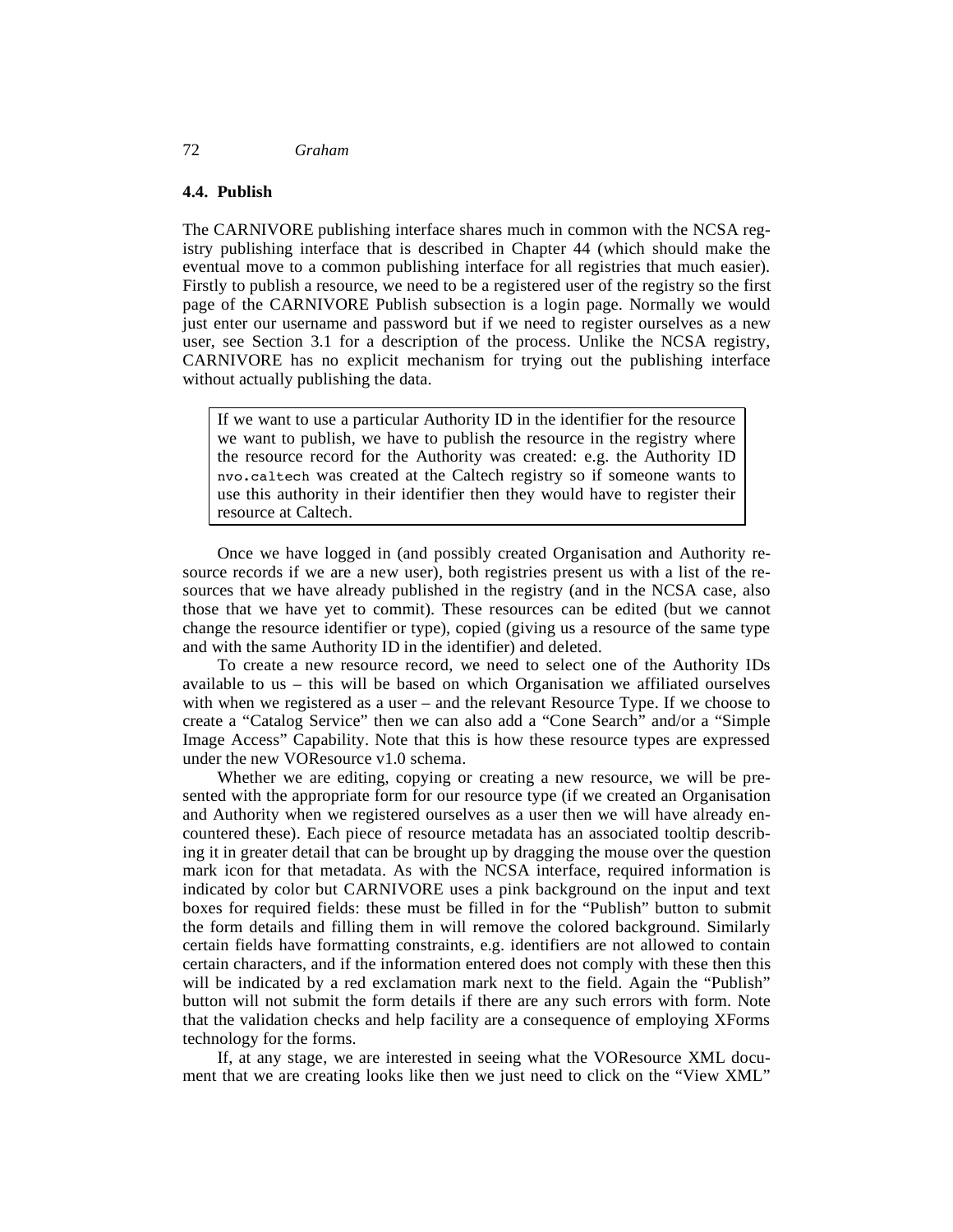#### **4.4. Publish**

The CARNIVORE publishing interface shares much in common with the NCSA registry publishing interface that is described in Chapter 44 (which should make the eventual move to a common publishing interface for all registries that much easier). Firstly to publish a resource, we need to be a registered user of the registry so the first page of the CARNIVORE Publish subsection is a login page. Normally we would just enter our username and password but if we need to register ourselves as a new user, see Section 3.1 for a description of the process. Unlike the NCSA registry, CARNIVORE has no explicit mechanism for trying out the publishing interface without actually publishing the data.

If we want to use a particular Authority ID in the identifier for the resource we want to publish, we have to publish the resource in the registry where the resource record for the Authority was created: e.g. the Authority ID nvo.caltech was created at the Caltech registry so if someone wants to use this authority in their identifier then they would have to register their resource at Caltech.

Once we have logged in (and possibly created Organisation and Authority resource records if we are a new user), both registries present us with a list of the resources that we have already published in the registry (and in the NCSA case, also those that we have yet to commit). These resources can be edited (but we cannot change the resource identifier or type), copied (giving us a resource of the same type and with the same Authority ID in the identifier) and deleted.

To create a new resource record, we need to select one of the Authority IDs available to us – this will be based on which Organisation we affiliated ourselves with when we registered as a user – and the relevant Resource Type. If we choose to create a "Catalog Service" then we can also add a "Cone Search" and/or a "Simple Image Access" Capability. Note that this is how these resource types are expressed under the new VOResource v1.0 schema.

Whether we are editing, copying or creating a new resource, we will be presented with the appropriate form for our resource type (if we created an Organisation and Authority when we registered ourselves as a user then we will have already encountered these). Each piece of resource metadata has an associated tooltip describing it in greater detail that can be brought up by dragging the mouse over the question mark icon for that metadata. As with the NCSA interface, required information is indicated by color but CARNIVORE uses a pink background on the input and text boxes for required fields: these must be filled in for the "Publish" button to submit the form details and filling them in will remove the colored background. Similarly certain fields have formatting constraints, e.g. identifiers are not allowed to contain certain characters, and if the information entered does not comply with these then this will be indicated by a red exclamation mark next to the field. Again the "Publish" button will not submit the form details if there are any such errors with form. Note that the validation checks and help facility are a consequence of employing XForms technology for the forms.

If, at any stage, we are interested in seeing what the VOResource XML document that we are creating looks like then we just need to click on the "View XML"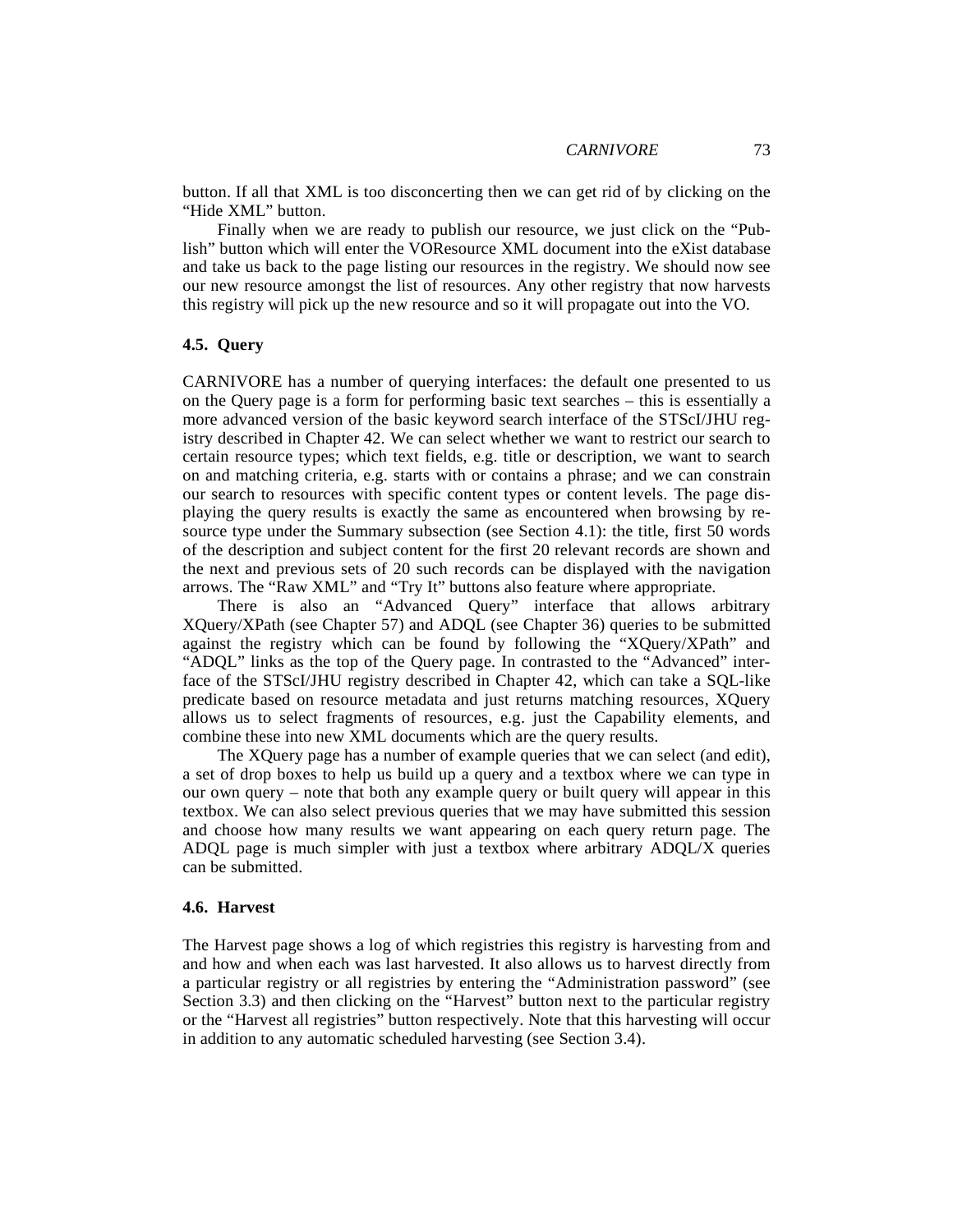button. If all that XML is too disconcerting then we can get rid of by clicking on the "Hide XML" button.

Finally when we are ready to publish our resource, we just click on the "Publish" button which will enter the VOResource XML document into the eXist database and take us back to the page listing our resources in the registry. We should now see our new resource amongst the list of resources. Any other registry that now harvests this registry will pick up the new resource and so it will propagate out into the VO.

# **4.5. Query**

CARNIVORE has a number of querying interfaces: the default one presented to us on the Query page is a form for performing basic text searches – this is essentially a more advanced version of the basic keyword search interface of the STScI/JHU registry described in Chapter 42. We can select whether we want to restrict our search to certain resource types; which text fields, e.g. title or description, we want to search on and matching criteria, e.g. starts with or contains a phrase; and we can constrain our search to resources with specific content types or content levels. The page displaying the query results is exactly the same as encountered when browsing by resource type under the Summary subsection (see Section 4.1): the title, first 50 words of the description and subject content for the first 20 relevant records are shown and the next and previous sets of 20 such records can be displayed with the navigation arrows. The "Raw XML" and "Try It" buttons also feature where appropriate.

There is also an "Advanced Query" interface that allows arbitrary XQuery/XPath (see Chapter 57) and ADQL (see Chapter 36) queries to be submitted against the registry which can be found by following the "XQuery/XPath" and "ADQL" links as the top of the Query page. In contrasted to the "Advanced" interface of the STScI/JHU registry described in Chapter 42, which can take a SQL-like predicate based on resource metadata and just returns matching resources, XQuery allows us to select fragments of resources, e.g. just the Capability elements, and combine these into new XML documents which are the query results.

The XQuery page has a number of example queries that we can select (and edit), a set of drop boxes to help us build up a query and a textbox where we can type in our own query – note that both any example query or built query will appear in this textbox. We can also select previous queries that we may have submitted this session and choose how many results we want appearing on each query return page. The ADQL page is much simpler with just a textbox where arbitrary ADQL/X queries can be submitted.

#### **4.6. Harvest**

The Harvest page shows a log of which registries this registry is harvesting from and and how and when each was last harvested. It also allows us to harvest directly from a particular registry or all registries by entering the "Administration password" (see Section 3.3) and then clicking on the "Harvest" button next to the particular registry or the "Harvest all registries" button respectively. Note that this harvesting will occur in addition to any automatic scheduled harvesting (see Section 3.4).